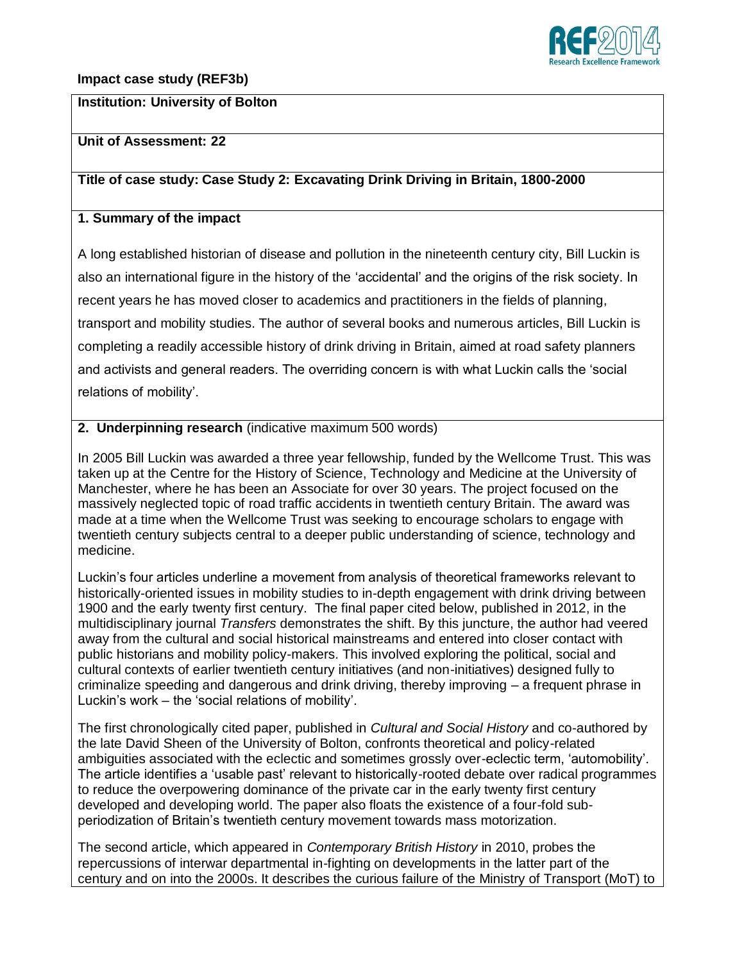

#### **Impact case study (REF3b)**

### **Institution: University of Bolton**

# **Unit of Assessment: 22**

#### **Title of case study: Case Study 2: Excavating Drink Driving in Britain, 1800-2000**

### **1. Summary of the impact**

A long established historian of disease and pollution in the nineteenth century city, Bill Luckin is also an international figure in the history of the 'accidental' and the origins of the risk society. In recent years he has moved closer to academics and practitioners in the fields of planning, transport and mobility studies. The author of several books and numerous articles, Bill Luckin is completing a readily accessible history of drink driving in Britain, aimed at road safety planners and activists and general readers. The overriding concern is with what Luckin calls the 'social relations of mobility'.

### **2. Underpinning research** (indicative maximum 500 words)

In 2005 Bill Luckin was awarded a three year fellowship, funded by the Wellcome Trust. This was taken up at the Centre for the History of Science, Technology and Medicine at the University of Manchester, where he has been an Associate for over 30 years. The project focused on the massively neglected topic of road traffic accidents in twentieth century Britain. The award was made at a time when the Wellcome Trust was seeking to encourage scholars to engage with twentieth century subjects central to a deeper public understanding of science, technology and medicine.

Luckin's four articles underline a movement from analysis of theoretical frameworks relevant to historically-oriented issues in mobility studies to in-depth engagement with drink driving between 1900 and the early twenty first century. The final paper cited below, published in 2012, in the multidisciplinary journal *Transfers* demonstrates the shift. By this juncture, the author had veered away from the cultural and social historical mainstreams and entered into closer contact with public historians and mobility policy-makers. This involved exploring the political, social and cultural contexts of earlier twentieth century initiatives (and non-initiatives) designed fully to criminalize speeding and dangerous and drink driving, thereby improving – a frequent phrase in Luckin's work – the 'social relations of mobility'.

The first chronologically cited paper, published in *Cultural and Social History* and co-authored by the late David Sheen of the University of Bolton, confronts theoretical and policy-related ambiguities associated with the eclectic and sometimes grossly over-eclectic term, 'automobility'. The article identifies a 'usable past' relevant to historically-rooted debate over radical programmes to reduce the overpowering dominance of the private car in the early twenty first century developed and developing world. The paper also floats the existence of a four-fold subperiodization of Britain's twentieth century movement towards mass motorization.

The second article, which appeared in *Contemporary British History* in 2010, probes the repercussions of interwar departmental in-fighting on developments in the latter part of the century and on into the 2000s. It describes the curious failure of the Ministry of Transport (MoT) to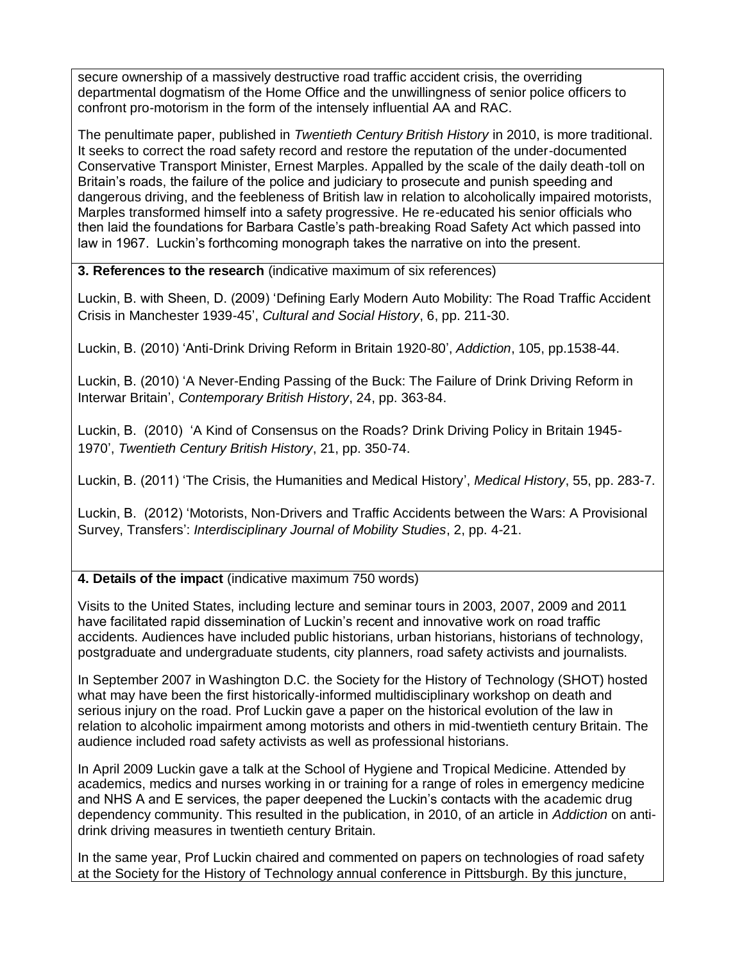secure ownership of a massively destructive road traffic accident crisis, the overriding departmental dogmatism of the Home Office and the unwillingness of senior police officers to confront pro-motorism in the form of the intensely influential AA and RAC.

The penultimate paper, published in *Twentieth Century British History* in 2010, is more traditional. It seeks to correct the road safety record and restore the reputation of the under-documented Conservative Transport Minister, Ernest Marples. Appalled by the scale of the daily death-toll on Britain's roads, the failure of the police and judiciary to prosecute and punish speeding and dangerous driving, and the feebleness of British law in relation to alcoholically impaired motorists, Marples transformed himself into a safety progressive. He re-educated his senior officials who then laid the foundations for Barbara Castle's path-breaking Road Safety Act which passed into law in 1967. Luckin's forthcoming monograph takes the narrative on into the present.

**3. References to the research** (indicative maximum of six references)

Luckin, B. with Sheen, D. (2009) 'Defining Early Modern Auto Mobility: The Road Traffic Accident Crisis in Manchester 1939-45', *Cultural and Social History*, 6, pp. 211-30.

Luckin, B. (2010) 'Anti-Drink Driving Reform in Britain 1920-80', *Addiction*, 105, pp.1538-44.

Luckin, B. (2010) 'A Never-Ending Passing of the Buck: The Failure of Drink Driving Reform in Interwar Britain', *Contemporary British History*, 24, pp. 363-84.

Luckin, B. (2010) 'A Kind of Consensus on the Roads? Drink Driving Policy in Britain 1945- 1970', *Twentieth Century British History*, 21, pp. 350-74.

Luckin, B. (2011) 'The Crisis, the Humanities and Medical History', *Medical History*, 55, pp. 283-7.

Luckin, B. (2012) 'Motorists, Non-Drivers and Traffic Accidents between the Wars: A Provisional Survey, Transfers': *Interdisciplinary Journal of Mobility Studies*, 2, pp. 4-21.

## **4. Details of the impact** (indicative maximum 750 words)

Visits to the United States, including lecture and seminar tours in 2003, 2007, 2009 and 2011 have facilitated rapid dissemination of Luckin's recent and innovative work on road traffic accidents. Audiences have included public historians, urban historians, historians of technology, postgraduate and undergraduate students, city planners, road safety activists and journalists.

In September 2007 in Washington D.C. the Society for the History of Technology (SHOT) hosted what may have been the first historically-informed multidisciplinary workshop on death and serious injury on the road. Prof Luckin gave a paper on the historical evolution of the law in relation to alcoholic impairment among motorists and others in mid-twentieth century Britain. The audience included road safety activists as well as professional historians.

In April 2009 Luckin gave a talk at the School of Hygiene and Tropical Medicine. Attended by academics, medics and nurses working in or training for a range of roles in emergency medicine and NHS A and E services, the paper deepened the Luckin's contacts with the academic drug dependency community. This resulted in the publication, in 2010, of an article in *Addiction* on antidrink driving measures in twentieth century Britain.

In the same year, Prof Luckin chaired and commented on papers on technologies of road safety at the Society for the History of Technology annual conference in Pittsburgh. By this juncture,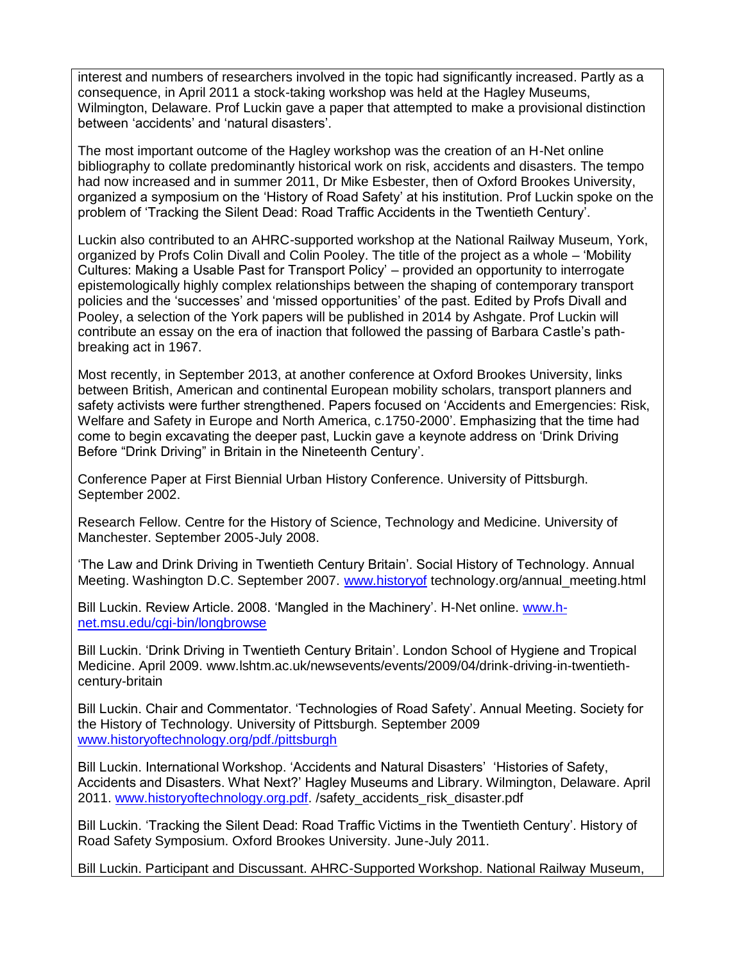interest and numbers of researchers involved in the topic had significantly increased. Partly as a consequence, in April 2011 a stock-taking workshop was held at the Hagley Museums, Wilmington, Delaware. Prof Luckin gave a paper that attempted to make a provisional distinction between 'accidents' and 'natural disasters'.

The most important outcome of the Hagley workshop was the creation of an H-Net online bibliography to collate predominantly historical work on risk, accidents and disasters. The tempo had now increased and in summer 2011, Dr Mike Esbester, then of Oxford Brookes University, organized a symposium on the 'History of Road Safety' at his institution. Prof Luckin spoke on the problem of 'Tracking the Silent Dead: Road Traffic Accidents in the Twentieth Century'.

Luckin also contributed to an AHRC-supported workshop at the National Railway Museum, York, organized by Profs Colin Divall and Colin Pooley. The title of the project as a whole – 'Mobility Cultures: Making a Usable Past for Transport Policy' – provided an opportunity to interrogate epistemologically highly complex relationships between the shaping of contemporary transport policies and the 'successes' and 'missed opportunities' of the past. Edited by Profs Divall and Pooley, a selection of the York papers will be published in 2014 by Ashgate. Prof Luckin will contribute an essay on the era of inaction that followed the passing of Barbara Castle's pathbreaking act in 1967.

Most recently, in September 2013, at another conference at Oxford Brookes University, links between British, American and continental European mobility scholars, transport planners and safety activists were further strengthened. Papers focused on 'Accidents and Emergencies: Risk, Welfare and Safety in Europe and North America, c.1750-2000'. Emphasizing that the time had come to begin excavating the deeper past, Luckin gave a keynote address on 'Drink Driving Before "Drink Driving" in Britain in the Nineteenth Century'.

Conference Paper at First Biennial Urban History Conference. University of Pittsburgh. September 2002.

Research Fellow. Centre for the History of Science, Technology and Medicine. University of Manchester. September 2005-July 2008.

'The Law and Drink Driving in Twentieth Century Britain'. Social History of Technology. Annual Meeting. Washington D.C. September 2007. [www.historyof](http://www.historyof/) technology.org/annual\_meeting.html

Bill Luckin. Review Article. 2008. 'Mangled in the Machinery'. H-Net online. [www.h](http://www.h-net.msu.edu/cgi-bin/longbrowse)[net.msu.edu/cgi-bin/longbrowse](http://www.h-net.msu.edu/cgi-bin/longbrowse) 

Bill Luckin. 'Drink Driving in Twentieth Century Britain'. London School of Hygiene and Tropical Medicine. April 2009. www.lshtm.ac.uk/newsevents/events/2009/04/drink-driving-in-twentiethcentury-britain

Bill Luckin. Chair and Commentator. 'Technologies of Road Safety'. Annual Meeting. Society for the History of Technology. University of Pittsburgh. September 2009 [www.historyoftechnology.org/pdf./pittsburgh](http://www.historyoftechnology.org/pdf./pittsburgh)

Bill Luckin. International Workshop. 'Accidents and Natural Disasters' 'Histories of Safety, Accidents and Disasters. What Next?' Hagley Museums and Library. Wilmington, Delaware. April 2011. [www.historyoftechnology.org.pdf.](http://www.historyoftechnology.org.pdf/) /safety\_accidents\_risk\_disaster.pdf

Bill Luckin. 'Tracking the Silent Dead: Road Traffic Victims in the Twentieth Century'. History of Road Safety Symposium. Oxford Brookes University. June-July 2011.

Bill Luckin. Participant and Discussant. AHRC-Supported Workshop. National Railway Museum,